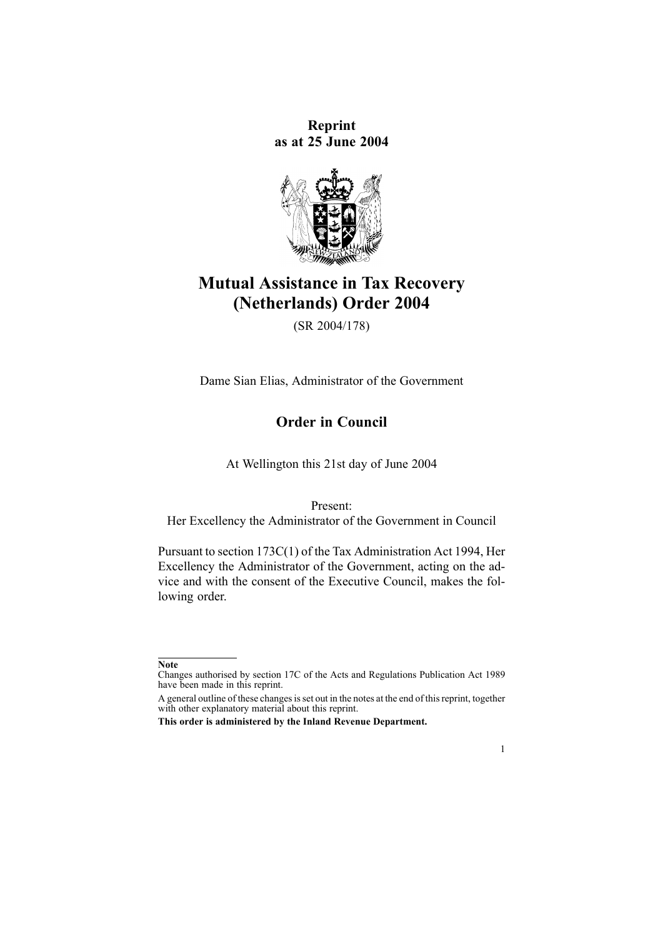**Reprint as at 25 June 2004**



# **Mutual Assistance in Tax Recovery (Netherlands) Order 2004**

(SR 2004/178)

Dame Sian Elias, Administrator of the Government

# **Order in Council**

At Wellington this 21st day of June 2004

Present:

Her Excellency the Administrator of the Government in Council

Pursuant to section [173C\(1\)](http://www.legislation.govt.nz/pdfLink.aspx?id=DLM357937) of the Tax Administration Act 1994, Her Excellency the Administrator of the Government, acting on the advice and with the consent of the Executive Council, makes the following order.



**Note**

Changes authorised by [section](http://www.legislation.govt.nz/pdfLink.aspx?id=DLM195466) 17C of the Acts and Regulations Publication Act 1989 have been made in this reprint.

A general outline of these changes is set out in the notes at the end of this reprint, together with other explanatory material about this reprint.

**This order is administered by the Inland Revenue Department.**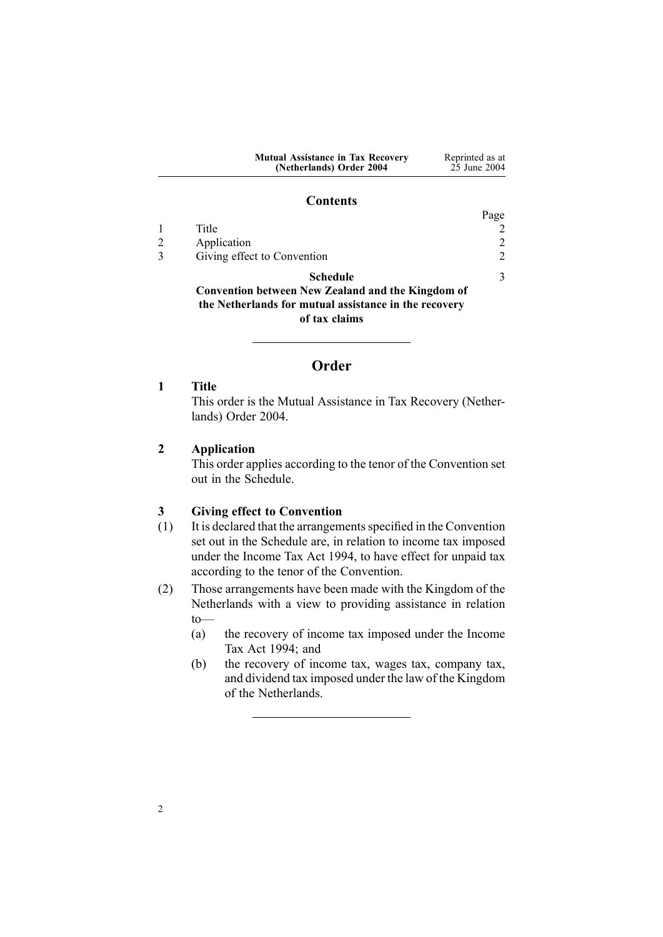| <b>Mutual Assistance in Tax Recovery</b> | Reprinted as at |
|------------------------------------------|-----------------|
| (Netherlands) Order 2004                 | 25 June 2004    |

#### **Contents**

<span id="page-1-0"></span>

|              |                                                          | Page                        |
|--------------|----------------------------------------------------------|-----------------------------|
|              | Title                                                    |                             |
|              | Application                                              | $\mathcal{D}_{\mathcal{A}}$ |
| $\mathbf{R}$ | Giving effect to Convention                              | $\mathcal{D}$               |
|              | <b>Schedule</b>                                          | $\mathbf{3}$                |
|              | <b>Convention between New Zealand and the Kingdom of</b> |                             |
|              | the Netherlands for mutual assistance in the recovery    |                             |
|              | of tax claims                                            |                             |

# **Order**

**1 Title**

This order is the Mutual Assistance in Tax Recovery (Netherlands) Order 2004.

### **2 Application**

This order applies according to the tenor of the Convention set out in the Schedule.

### **3 Giving effect to Convention**

- (1) It is declared that the arrangementsspecified in the Convention set out in the Schedule are, in relation to income tax imposed under the [Income](http://www.legislation.govt.nz/pdfLink.aspx?id=DLM1184504) Tax Act 1994, to have effect for unpaid tax according to the tenor of the Convention.
- (2) Those arrangements have been made with the Kingdom of the Netherlands with <sup>a</sup> view to providing assistance in relation to—
	- (a) the recovery of income tax imposed under the [Income](http://www.legislation.govt.nz/pdfLink.aspx?id=DLM1184504) Tax Act [1994](http://www.legislation.govt.nz/pdfLink.aspx?id=DLM1184504); and
	- (b) the recovery of income tax, wages tax, company tax, and dividend tax imposed under the law of the Kingdom of the Netherlands.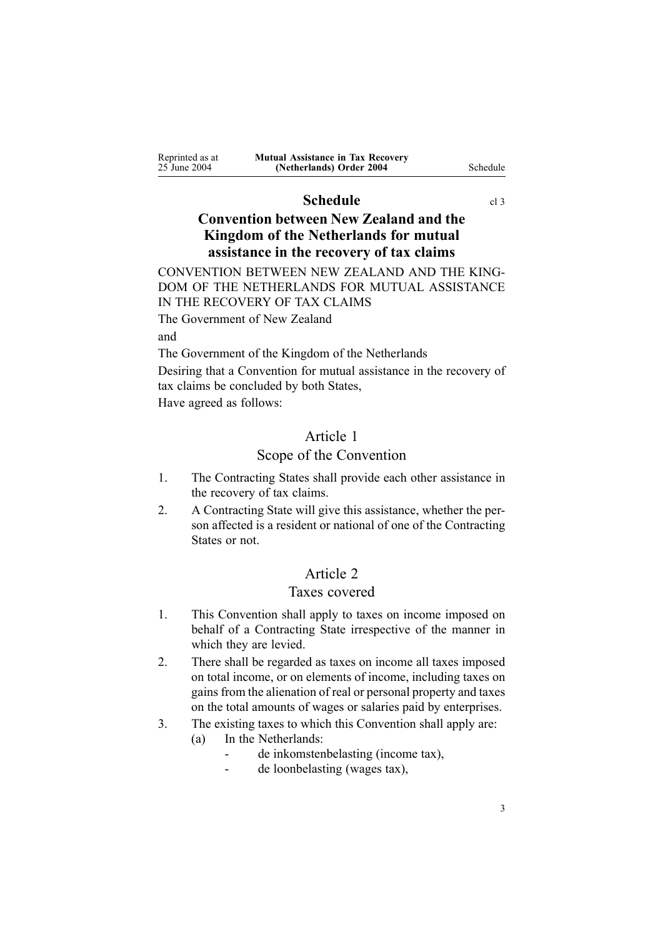<span id="page-2-0"></span>

| Reprinted as at | <b>Mutual Assistance in Tax Recovery</b> |          |
|-----------------|------------------------------------------|----------|
| 25 June 2004    | (Netherlands) Order 2004                 | Schedule |

### **Schedule** [cl](#page-1-0) 3

# **Convention between New Zealand and the Kingdom of the Netherlands for mutual assistance in the recovery of tax claims**

CONVENTION BETWEEN NEW ZEALAND AND THE KING-DOM OF THE NETHERLANDS FOR MUTUAL ASSISTANCE IN THE RECOVERY OF TAX CLAIMS

The Government of New Zealand and

The Government of the Kingdom of the Netherlands

Desiring that <sup>a</sup> Convention for mutual assistance in the recovery of tax claims be concluded by both States,

Have agreed as follows:

# Article 1

### Scope of the Convention

- 1. The Contracting States shall provide each other assistance in the recovery of tax claims.
- 2. A Contracting State will give this assistance, whether the person affected is <sup>a</sup> resident or national of one of the Contracting States or not.

# Article 2

# Taxes covered

- 1. This Convention shall apply to taxes on income imposed on behalf of <sup>a</sup> Contracting State irrespective of the manner in which they are levied.
- 2. There shall be regarded as taxes on income all taxes imposed on total income, or on elements of income, including taxes on gains from the alienation of real or personal property and taxes on the total amounts of wages or salaries paid by enterprises.
- 3. The existing taxes to which this Convention shall apply are:
	- (a) In the Netherlands:
		- .. de inkomstenbelasting (income tax),
		- $\mathbf{r}$ de loonbelasting (wages tax),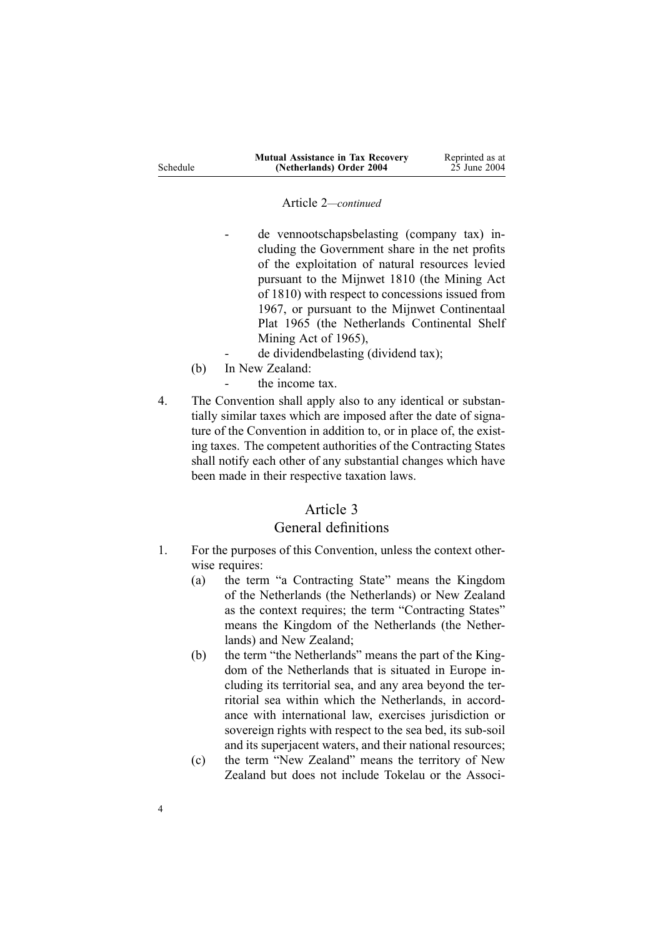#### Article 2*—continued*

 de vennootschapsbelasting (company tax) including the Government share in the net profits of the exploitation of natural resources levied pursuan<sup>t</sup> to the Mijnwet 1810 (the Mining Act of 1810) with respec<sup>t</sup> to concessions issued from 1967, or pursuan<sup>t</sup> to the Mijnwet Continentaal Plat 1965 (the Netherlands Continental Shelf Mining Act of 1965),

- de dividendbelasting (dividend tax);
- (b) In New Zealand:

-

-

Schedule

- the income tax.
- 4. The Convention shall apply also to any identical or substantially similar taxes which are imposed after the date of signature of the Convention in addition to, or in place of, the existing taxes. The competent authorities of the Contracting States shall notify each other of any substantial changes which have been made in their respective taxation laws.

### Article 3

### General definitions

- 1. For the purposes of this Convention, unless the context otherwise requires:
	- (a) the term "a Contracting State" means the Kingdom of the Netherlands (the Netherlands) or New Zealand as the context requires; the term "Contracting States" means the Kingdom of the Netherlands (the Netherlands) and New Zealand;
	- (b) the term "the Netherlands" means the par<sup>t</sup> of the Kingdom of the Netherlands that is situated in Europe including its territorial sea, and any area beyond the territorial sea within which the Netherlands, in accordance with international law, exercises jurisdiction or sovereign rights with respect to the sea bed, its sub-soil and its superjacent waters, and their national resources;
	- (c) the term "New Zealand" means the territory of New Zealand but does not include Tokelau or the Associ-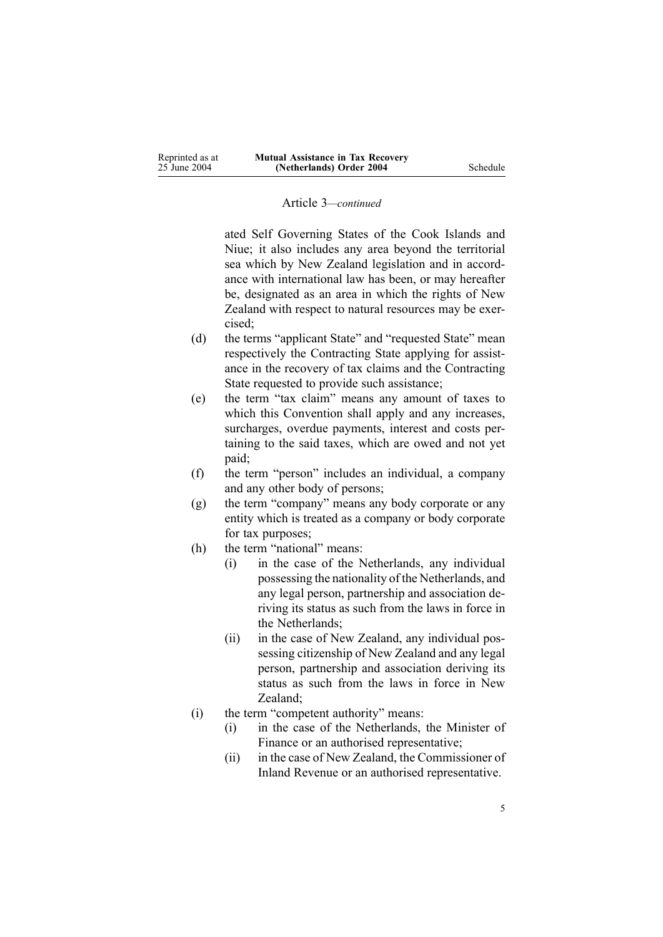#### Article 3*—continued*

ated Self Governing States of the Cook Islands and Niue; it also includes any area beyond the territorial sea which by New Zealand legislation and in accordance with international law has been, or may hereafter be, designated as an area in which the rights of New Zealand with respec<sup>t</sup> to natural resources may be exercised;

- (d) the terms "applicant State" and "requested State" mean respectively the Contracting State applying for assistance in the recovery of tax claims and the Contracting State requested to provide such assistance;
- (e) the term "tax claim" means any amount of taxes to which this Convention shall apply and any increases, surcharges, overdue payments, interest and costs pertaining to the said taxes, which are owed and not ye<sup>t</sup> paid;
- (f) the term "person" includes an individual, <sup>a</sup> company and any other body of persons;
- (g) the term "company" means any body corporate or any entity which is treated as <sup>a</sup> company or body corporate for tax purposes;
- (h) the term "national" means:
	- (i) in the case of the Netherlands, any individual possessing the nationality of the Netherlands, and any legal person, partnership and association deriving its status as such from the laws in force in the Netherlands;
	- (ii) in the case of New Zealand, any individual possessing citizenship of New Zealand and any legal person, partnership and association deriving its status as such from the laws in force in New Zealand;
- (i) the term "competent authority" means:
	- (i) in the case of the Netherlands, the Minister of Finance or an authorised representative;
	- (ii) in the case of New Zealand, the Commissioner of Inland Revenue or an authorised representative.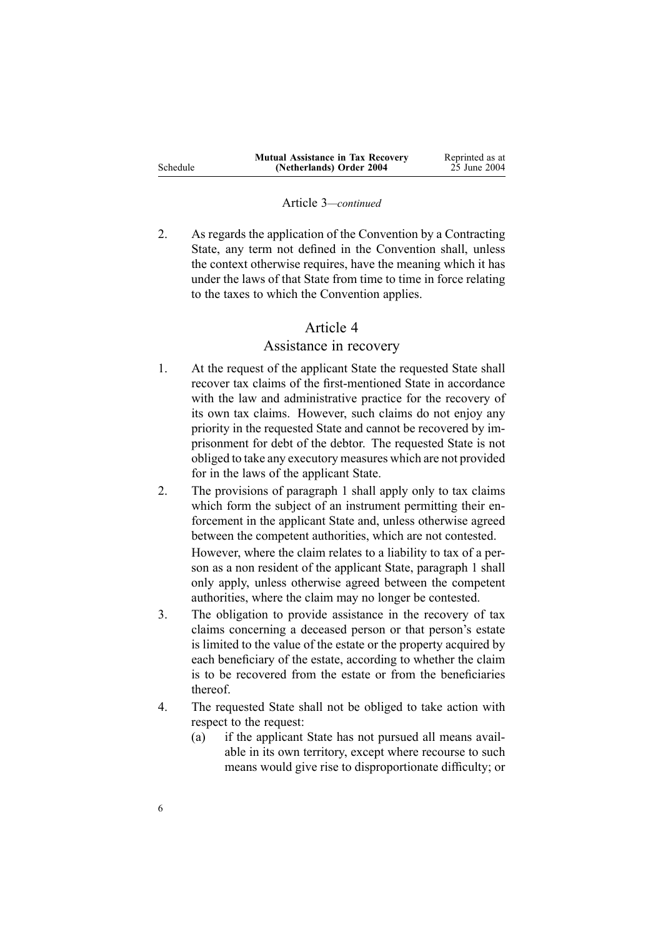|          | <b>Mutual Assistance in Tax Recovery</b> | Reprinted as at |
|----------|------------------------------------------|-----------------|
| Schedule | (Netherlands) Order 2004                 | 25 June 2004    |

#### Article 3*—continued*

2. As regards the application of the Convention by <sup>a</sup> Contracting State, any term not defined in the Convention shall, unless the context otherwise requires, have the meaning which it has under the laws of that State from time to time in force relating to the taxes to which the Convention applies.

## Article 4

#### Assistance in recovery

- 1. At the reques<sup>t</sup> of the applicant State the requested State shall recover tax claims of the first-mentioned State in accordance with the law and administrative practice for the recovery of its own tax claims. However, such claims do not enjoy any priority in the requested State and cannot be recovered by imprisonment for debt of the debtor. The requested State is not obliged to take any executory measures which are not provided for in the laws of the applicant State.
- 2. The provisions of paragraph 1 shall apply only to tax claims which form the subject of an instrument permitting their enforcement in the applicant State and, unless otherwise agreed between the competent authorities, which are not contested. However, where the claim relates to <sup>a</sup> liability to tax of <sup>a</sup> person as <sup>a</sup> non resident of the applicant State, paragraph 1 shall only apply, unless otherwise agreed between the competent authorities, where the claim may no longer be contested.
- 3. The obligation to provide assistance in the recovery of tax claims concerning <sup>a</sup> deceased person or that person's estate is limited to the value of the estate or the property acquired by each beneficiary of the estate, according to whether the claim is to be recovered from the estate or from the beneficiaries thereof.
- 4. The requested State shall not be obliged to take action with respec<sup>t</sup> to the request:
	- (a) if the applicant State has not pursued all means available in its own territory, excep<sup>t</sup> where recourse to such means would give rise to disproportionate difficulty; or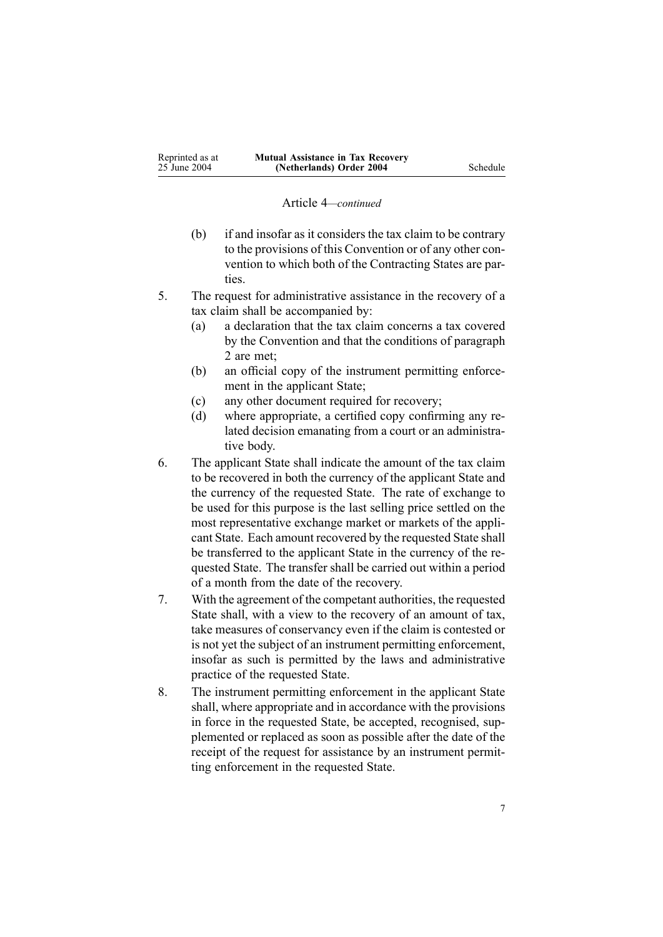#### Article 4*—continued*

- (b) if and insofar as it considers the tax claim to be contrary to the provisions of this Convention or of any other convention to which both of the Contracting States are parties.
- 5. The reques<sup>t</sup> for administrative assistance in the recovery of <sup>a</sup> tax claim shall be accompanied by:
	- (a) <sup>a</sup> declaration that the tax claim concerns <sup>a</sup> tax covered by the Convention and that the conditions of paragraph 2 are met;
	- (b) an official copy of the instrument permitting enforcement in the applicant State;
	- (c) any other document required for recovery;
	- (d) where appropriate, <sup>a</sup> certified copy confirming any related decision emanating from <sup>a</sup> court or an administrative body.
- 6. The applicant State shall indicate the amount of the tax claim to be recovered in both the currency of the applicant State and the currency of the requested State. The rate of exchange to be used for this purpose is the last selling price settled on the most representative exchange market or markets of the applicant State. Each amount recovered by the requested State shall be transferred to the applicant State in the currency of the requested State. The transfer shall be carried out within <sup>a</sup> period of <sup>a</sup> month from the date of the recovery.
- 7. With the agreemen<sup>t</sup> of the competant authorities, the requested State shall, with <sup>a</sup> view to the recovery of an amount of tax, take measures of conservancy even if the claim is contested or is not ye<sup>t</sup> the subject of an instrument permitting enforcement, insofar as such is permitted by the laws and administrative practice of the requested State.
- 8. The instrument permitting enforcement in the applicant State shall, where appropriate and in accordance with the provisions in force in the requested State, be accepted, recognised, supplemented or replaced as soon as possible after the date of the receipt of the reques<sup>t</sup> for assistance by an instrument permitting enforcement in the requested State.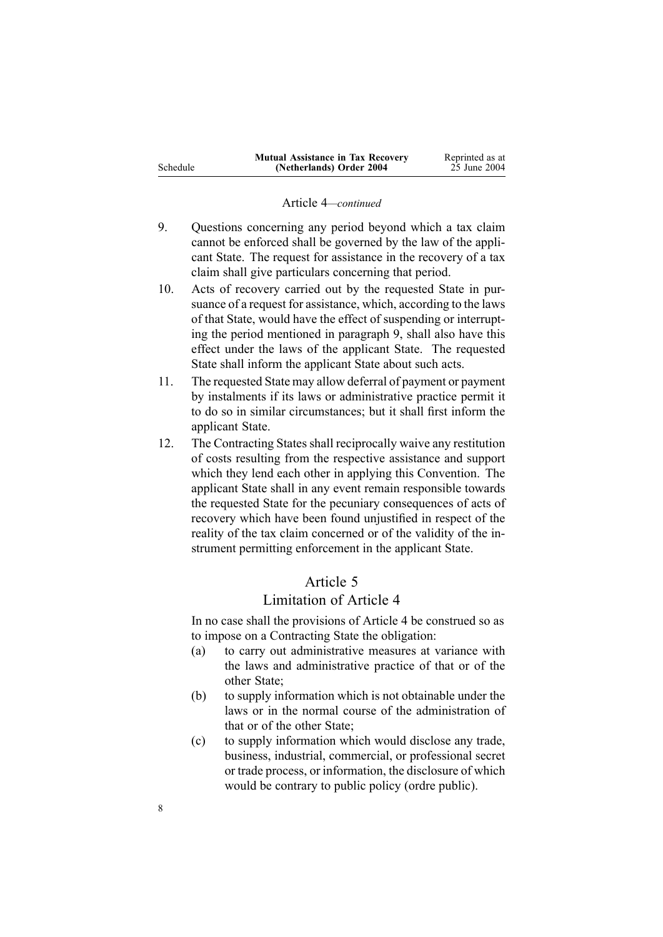|          | <b>Mutual Assistance in Tax Recovery</b> | Reprinted as at |
|----------|------------------------------------------|-----------------|
| Schedule | (Netherlands) Order 2004                 | 25 June 2004    |

#### Article 4*—continued*

- 9. Questions concerning any period beyond which <sup>a</sup> tax claim cannot be enforced shall be governed by the law of the applicant State. The reques<sup>t</sup> for assistance in the recovery of <sup>a</sup> tax claim shall give particulars concerning that period.
- 10. Acts of recovery carried out by the requested State in pursuance of <sup>a</sup> reques<sup>t</sup> for assistance, which, according to the laws of that State, would have the effect of suspending or interrupting the period mentioned in paragraph 9, shall also have this effect under the laws of the applicant State. The requested State shall inform the applicant State about such acts.
- 11. The requested State may allow deferral of paymen<sup>t</sup> or paymen<sup>t</sup> by instalments if its laws or administrative practice permit it to do so in similar circumstances; but it shall first inform the applicant State.
- 12. The Contracting States shall reciprocally waive any restitution of costs resulting from the respective assistance and suppor<sup>t</sup> which they lend each other in applying this Convention. The applicant State shall in any event remain responsible towards the requested State for the pecuniary consequences of acts of recovery which have been found unjustified in respec<sup>t</sup> of the reality of the tax claim concerned or of the validity of the instrument permitting enforcement in the applicant State.

# Article 5

# Limitation of Article 4

In no case shall the provisions of Article 4 be construed so as to impose on <sup>a</sup> Contracting State the obligation:

- (a) to carry out administrative measures at variance with the laws and administrative practice of that or of the other State;
- (b) to supply information which is not obtainable under the laws or in the normal course of the administration of that or of the other State;
- (c) to supply information which would disclose any trade, business, industrial, commercial, or professional secret or trade process, or information, the disclosure of which would be contrary to public policy (ordre public).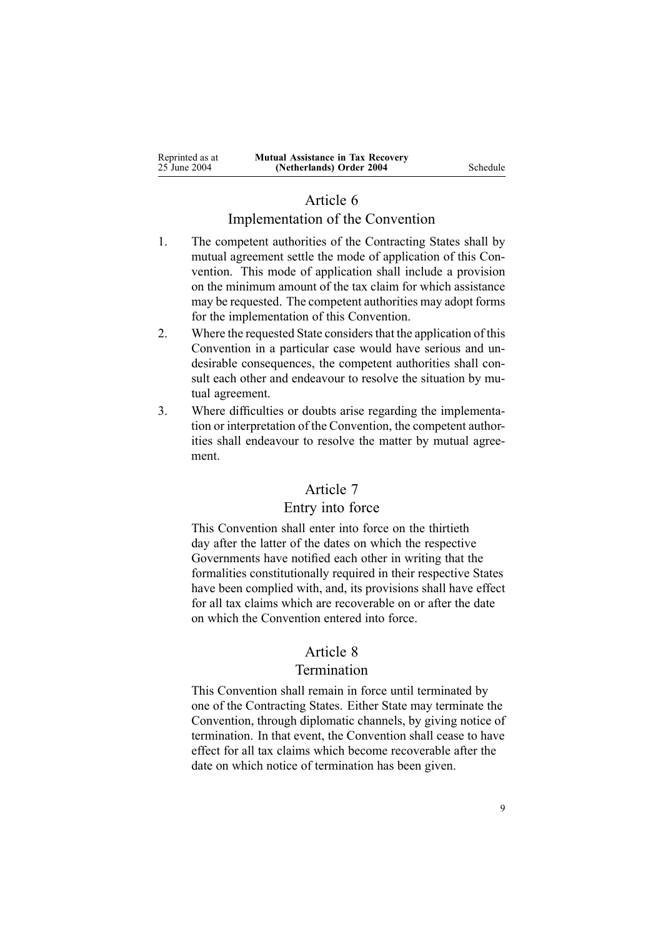# Article 6

# Implementation of the Convention

- 1. The competent authorities of the Contracting States shall by mutual agreemen<sup>t</sup> settle the mode of application of this Convention. This mode of application shall include <sup>a</sup> provision on the minimum amount of the tax claim for which assistance may be requested. The competent authorities may adopt forms for the implementation of this Convention.
- 2. Where the requested State considers that the application of this Convention in <sup>a</sup> particular case would have serious and undesirable consequences, the competent authorities shall consult each other and endeavour to resolve the situation by mutual agreement.
- 3. Where difficulties or doubts arise regarding the implementation or interpretation of the Convention, the competent authorities shall endeavour to resolve the matter by mutual agreement.

# Article 7

### Entry into force

This Convention shall enter into force on the thirtieth day after the latter of the dates on which the respective Governments have notified each other in writing that the formalities constitutionally required in their respective States have been complied with, and, its provisions shall have effect for all tax claims which are recoverable on or after the date on which the Convention entered into force.

# Article 8

### Termination

This Convention shall remain in force until terminated by one of the Contracting States. Either State may terminate the Convention, through diplomatic channels, by giving notice of termination. In that event, the Convention shall cease to have effect for all tax claims which become recoverable after the date on which notice of termination has been given.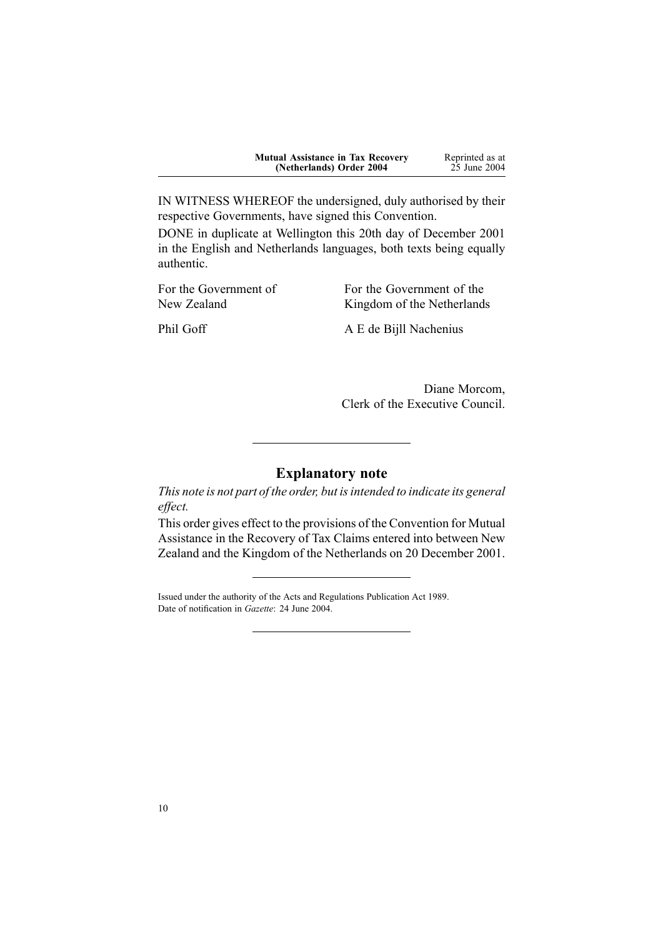| <b>Mutual Assistance in Tax Recovery</b> | Reprinted as at |
|------------------------------------------|-----------------|
| (Netherlands) Order 2004                 | 25 June 2004    |

IN WITNESS WHEREOF the undersigned, duly authorised by their respective Governments, have signed this Convention.

DONE in duplicate at Wellington this 20th day of December 2001 in the English and Netherlands languages, both texts being equally authentic.

For the Government of New Zealand

For the Government of the Kingdom of the Netherlands

Phil Goff A E de Bijll Nachenius

Diane Morcom, Clerk of the Executive Council.

### **Explanatory note**

*This note is not par<sup>t</sup> of the order, but isintended to indicate its general effect.*

This order gives effect to the provisions of the Convention for Mutual Assistance in the Recovery of Tax Claims entered into between New Zealand and the Kingdom of the Netherlands on 20 December 2001.

Issued under the authority of the Acts and [Regulations](http://www.legislation.govt.nz/pdfLink.aspx?id=DLM195097) Publication Act 1989. Date of notification in *Gazette*: 24 June 2004.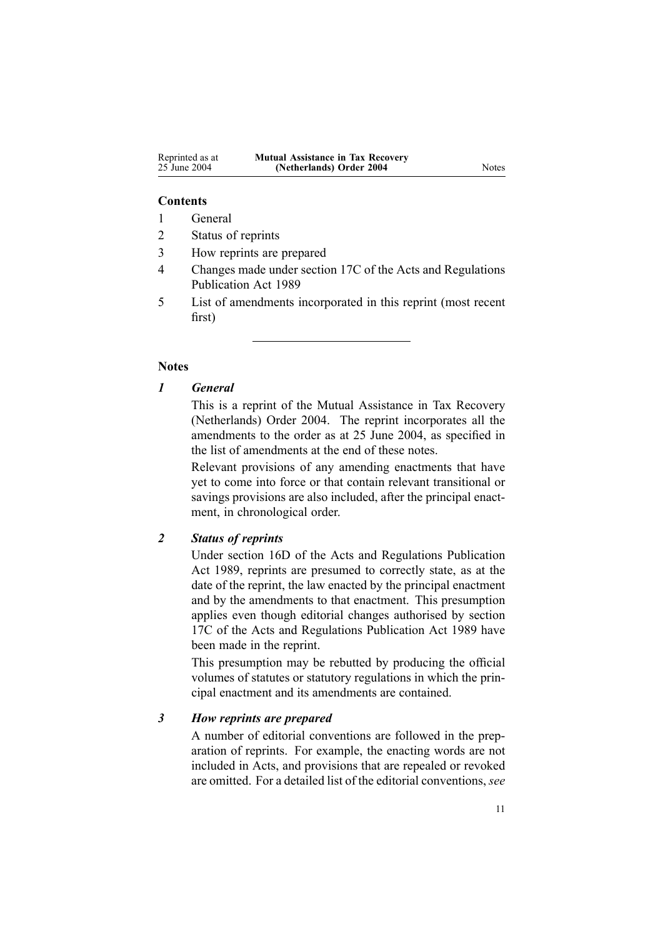#### **Contents**

- 1 General
- 2 Status of reprints
- 3 How reprints are prepared
- 4 Changes made under section 17C of the Acts and Regulations Publication Act 1989
- 5 List of amendments incorporated in this reprint (most recent first)

### **Notes**

### *1 General*

This is <sup>a</sup> reprint of the Mutual Assistance in Tax Recovery (Netherlands) Order 2004. The reprint incorporates all the amendments to the order as at 25 June 2004, as specified in the list of amendments at the end of these notes.

Relevant provisions of any amending enactments that have ye<sup>t</sup> to come into force or that contain relevant transitional or savings provisions are also included, after the principal enactment, in chronological order.

### *2 Status of reprints*

Under section 16D of the Acts and Regulations Publication Act 1989, reprints are presumed to correctly state, as at the date of the reprint, the law enacted by the principal enactment and by the amendments to that enactment. This presumption applies even though editorial changes authorised by section 17C of the Acts and Regulations Publication Act 1989 have been made in the reprint.

This presumption may be rebutted by producing the official volumes of statutes or statutory regulations in which the principal enactment and its amendments are contained.

### *3 How reprints are prepared*

A number of editorial conventions are followed in the preparation of reprints. For example, the enacting words are not included in Acts, and provisions that are repealed or revoked are omitted. For <sup>a</sup> detailed list of the editorial conventions, *see*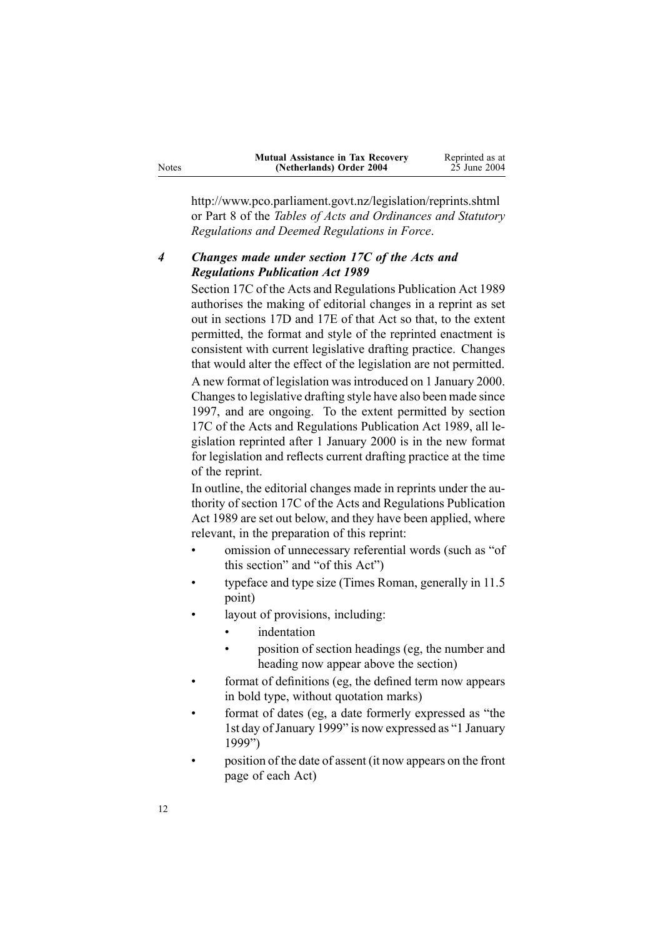| <b>Mutual Assistance in Tax Recovery</b> | Reprinted as at |
|------------------------------------------|-----------------|
| (Netherlands) Order 2004                 | 25 June 2004    |

http://www.pco.parliament.govt.nz/legislation/reprints.shtml or Part 8 of the *Tables of Acts and Ordinances and Statutory Regulations and Deemed Regulations in Force*.

### *4 Changes made under section 17C of the Acts and Regulations Publication Act 1989*

Section 17C of the Acts and Regulations Publication Act 1989 authorises the making of editorial changes in <sup>a</sup> reprint as set out in sections 17D and 17E of that Act so that, to the extent permitted, the format and style of the reprinted enactment is consistent with current legislative drafting practice. Changes that would alter the effect of the legislation are not permitted. A new format of legislation wasintroduced on 1 January 2000. Changesto legislative drafting style have also been made since 1997, and are ongoing. To the extent permitted by section 17C of the Acts and Regulations Publication Act 1989, all legislation reprinted after 1 January 2000 is in the new format for legislation and reflects current drafting practice at the time of the reprint.

In outline, the editorial changes made in reprints under the authority of section 17C of the Acts and Regulations Publication Act 1989 are set out below, and they have been applied, where relevant, in the preparation of this reprint:

- • omission of unnecessary referential words (such as "of this section" and "of this Act")
- • typeface and type size (Times Roman, generally in 11.5 point)
- • layout of provisions, including:
	- •indentation
	- • position of section headings (eg, the number and heading now appear above the section)
- format of definitions (eg, the defined term now appears in bold type, without quotation marks)
- • format of dates (eg, <sup>a</sup> date formerly expressed as "the 1st day of January 1999" is now expressed as "1 January 1999")
- • position of the date of assent (it now appears on the front page of each Act)

Notes

•